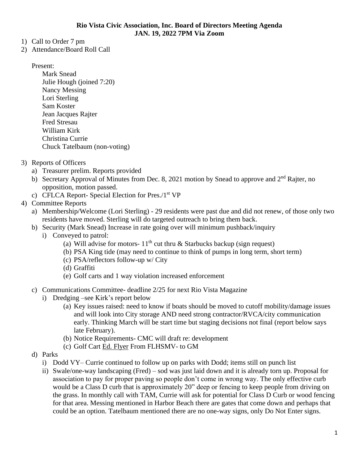- 1) Call to Order 7 pm
- 2) Attendance/Board Roll Call

Present:

- Mark Snead Julie Hough (joined 7:20) Nancy Messing Lori Sterling Sam Koster Jean Jacques Rajter Fred Stresau William Kirk Christina Currie Chuck Tatelbaum (non-voting)
- 3) Reports of Officers
	- a) Treasurer prelim. Reports provided
	- b) Secretary Approval of Minutes from Dec. 8, 2021 motion by Snead to approve and 2<sup>nd</sup> Rajter, no opposition, motion passed.
	- c) CFLCA Report- Special Election for Pres./1st VP
- 4) Committee Reports
	- a) Membership/Welcome (Lori Sterling) 29 residents were past due and did not renew, of those only two residents have moved. Sterling will do targeted outreach to bring them back.
	- b) Security (Mark Snead) Increase in rate going over will minimum pushback/inquiry
		- i) Conveyed to patrol:
			- (a) Will advise for motors-  $11<sup>th</sup>$  cut thru & Starbucks backup (sign request)
			- (b) PSA King tide (may need to continue to think of pumps in long term, short term)
			- (c) PSA/reflectors follow-up w/ City
			- (d) Graffiti
			- (e) Golf carts and 1 way violation increased enforcement
	- c) Communications Committee- deadline 2/25 for next Rio Vista Magazine
		- i) Dredging –see Kirk's report below
			- (a) Key issues raised: need to know if boats should be moved to cutoff mobility/damage issues and will look into City storage AND need strong contractor/RVCA/city communication early. Thinking March will be start time but staging decisions not final (report below says late February).
			- (b) Notice Requirements- CMC will draft re: development
			- (c) Golf Cart [Ed. Flyer](https://www.flhsmv.gov/safety-center/consumer-education/low-speed-vehicles/) From FLHSMV- to GM
	- d) Parks
		- i) Dodd VY– Currie continued to follow up on parks with Dodd; items still on punch list
		- ii) Swale/one-way landscaping (Fred) sod was just laid down and it is already torn up. Proposal for association to pay for proper paving so people don't come in wrong way. The only effective curb would be a Class D curb that is approximately 20" deep or fencing to keep people from driving on the grass. In monthly call with TAM, Currie will ask for potential for Class D Curb or wood fencing for that area. Messing mentioned in Harbor Beach there are gates that come down and perhaps that could be an option. Tatelbaum mentioned there are no one-way signs, only Do Not Enter signs.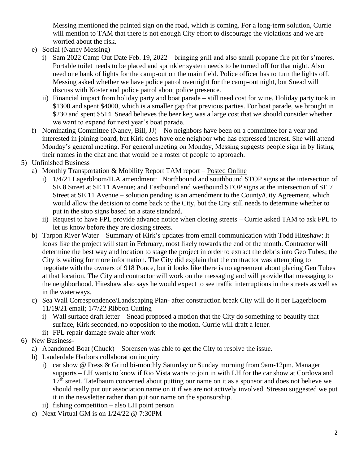Messing mentioned the painted sign on the road, which is coming. For a long-term solution, Currie will mention to TAM that there is not enough City effort to discourage the violations and we are worried about the risk.

- e) Social (Nancy Messing)
	- i) Sam 2022 Camp Out Date Feb. 19, 2022 bringing grill and also small propane fire pit for s'mores. Portable toilet needs to be placed and sprinkler system needs to be turned off for that night. Also need one bank of lights for the camp-out on the main field. Police officer has to turn the lights off. Messing asked whether we have police patrol overnight for the camp-out night, but Snead will discuss with Koster and police patrol about police presence.
	- ii) Financial impact from holiday party and boat parade still need cost for wine. Holiday party took in \$1300 and spent \$4000, which is a smaller gap that previous parties. For boat parade, we brought in \$230 and spent \$514. Snead believes the beer keg was a large cost that we should consider whether we want to expend for next year's boat parade.
- f) Nominating Committee (Nancy, Bill, JJ) No neighbors have been on a committee for a year and interested in joining board, but Kirk does have one neighbor who has expressed interest. She will attend Monday's general meeting. For general meeting on Monday, Messing suggests people sign in by listing their names in the chat and that would be a roster of people to approach.
- 5) Unfinished Business
	- a) Monthly Transportation & Mobility Report TAM report [Posted Online](https://www.riovistaonline.com/city-county-info/transportation-and-mobility-status-reports)
		- i) 1/4/21 Lagerbloom/ILA amendment: Northbound and southbound STOP signs at the intersection of SE 8 Street at SE 11 Avenue; and Eastbound and westbound STOP signs at the intersection of SE 7 Street at SE 11 Avenue – solution pending is an amendment to the County/City Agreement, which would allow the decision to come back to the City, but the City still needs to determine whether to put in the stop signs based on a state standard.
		- ii) Request to have FPL provide advance notice when closing streets Currie asked TAM to ask FPL to let us know before they are closing streets.
	- b) Tarpon River Water Summary of Kirk's updates from email communication with Todd Hiteshaw: It looks like the project will start in February, most likely towards the end of the month. Contractor will determine the best way and location to stage the project in order to extract the debris into Geo Tubes; the City is waiting for more information. The City did explain that the contractor was attempting to negotiate with the owners of 918 Ponce, but it looks like there is no agreement about placing Geo Tubes at that location. The City and contractor will work on the messaging and will provide that messaging to the neighborhood. Hiteshaw also says he would expect to see traffic interruptions in the streets as well as in the waterways.
	- c) Sea Wall Correspondence/Landscaping Plan- after construction break City will do it per Lagerbloom 11/19/21 email; 1/7/22 Ribbon Cutting
		- i) Wall surface draft letter Snead proposed a motion that the City do something to beautify that surface, Kirk seconded, no opposition to the motion. Currie will draft a letter.
		- ii) FPL repair damage swale after work
- 6) New Business
	- a) Abandoned Boat (Chuck) Sorensen was able to get the City to resolve the issue.
	- b) Lauderdale Harbors collaboration inquiry
		- i) car show @ Press & Grind bi-monthly Saturday or Sunday morning from 9am-12pm. Manager supports – LH wants to know if Rio Vista wants to join in with LH for the car show at Cordova and 17<sup>th</sup> street. Tatelbaum concerned about putting our name on it as a sponsor and does not believe we should really put our association name on it if we are not actively involved. Stresau suggested we put it in the newsletter rather than put our name on the sponsorship.
		- ii) fishing competition also LH point person
	- c) Next Virtual GM is on 1/24/22 @ 7:30PM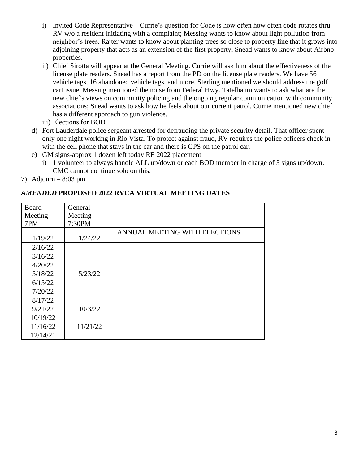- i) Invited Code Representative Currie's question for Code is how often how often code rotates thru RV w/o a resident initiating with a complaint; Messing wants to know about light pollution from neighbor's trees. Rajter wants to know about planting trees so close to property line that it grows into adjoining property that acts as an extension of the first property. Snead wants to know about Airbnb properties.
- ii) Chief Sirotta will appear at the General Meeting. Currie will ask him about the effectiveness of the license plate readers. Snead has a report from the PD on the license plate readers. We have 56 vehicle tags, 16 abandoned vehicle tags, and more. Sterling mentioned we should address the golf cart issue. Messing mentioned the noise from Federal Hwy. Tatelbaum wants to ask what are the new chief's views on community policing and the ongoing regular communication with community associations; Snead wants to ask how he feels about our current patrol. Currie mentioned new chief has a different approach to gun violence.
- iii) Elections for BOD
- d) Fort Lauderdale police sergeant arrested for defrauding the private security detail. That officer spent only one night working in Rio Vista. To protect against fraud, RV requires the police officers check in with the cell phone that stays in the car and there is GPS on the patrol car.
- e) GM signs-approx 1 dozen left today RE 2022 placement
	- i) 1 volunteer to always handle ALL up/down or each BOD member in charge of 3 signs up/down. CMC cannot continue solo on this.
- 7) Adjourn  $8:03$  pm

## *AMENDED* **PROPOSED 2022 RVCA VIRTUAL MEETING DATES**

| <b>Board</b> | General  |                               |
|--------------|----------|-------------------------------|
| Meeting      | Meeting  |                               |
| 7PM          | 7:30PM   |                               |
|              |          | ANNUAL MEETING WITH ELECTIONS |
| 1/19/22      | 1/24/22  |                               |
| 2/16/22      |          |                               |
| 3/16/22      |          |                               |
| 4/20/22      |          |                               |
| 5/18/22      | 5/23/22  |                               |
| 6/15/22      |          |                               |
| 7/20/22      |          |                               |
| 8/17/22      |          |                               |
| 9/21/22      | 10/3/22  |                               |
| 10/19/22     |          |                               |
| 11/16/22     | 11/21/22 |                               |
| 12/14/21     |          |                               |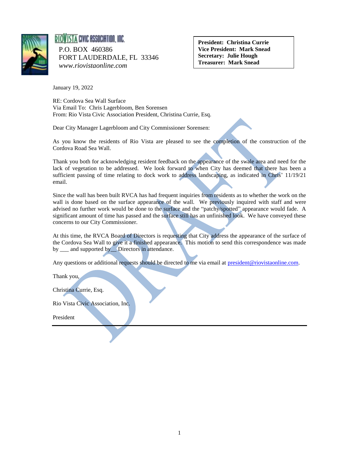

## RIOVISTA CIVIC ASSOCIATION, INC. P.O. BOX 460386 FORT LAUDERDALE, FL 33346  *www.riovistaonline.com*

**President: Christina Currie Vice President: Mark Snead Secretary: Julie Hough Treasurer: Mark Snead**

January 19, 2022

RE: Cordova Sea Wall Surface Via Email To: Chris Lagerbloom, Ben Sorensen From: Rio Vista Civic Association President, Christina Currie, Esq.

Dear City Manager Lagerbloom and City Commissioner Sorensen:

As you know the residents of Rio Vista are pleased to see the completion of the construction of the Cordova Road Sea Wall.

Thank you both for acknowledging resident feedback on the appearance of the swale area and need for the lack of vegetation to be addressed. We look forward to when City has deemed that there has been a sufficient passing of time relating to dock work to address landscaping, as indicated in Chris' 11/19/21 email.

Since the wall has been built RVCA has had frequent inquiries from residents as to whether the work on the wall is done based on the surface appearance of the wall. We previously inquired with staff and were advised no further work would be done to the surface and the "patchy/spotted" appearance would fade. A significant amount of time has passed and the surface still has an unfinished look. We have conveyed these concerns to our City Commissioner.

At this time, the RVCA Board of Directors is requesting that City address the appearance of the surface of the Cordova Sea Wall to give it a finished appearance. This motion to send this correspondence was made by \_\_\_ and supported by \_\_ Directors in attendance.

Any questions or additional requests should be directed to me via email at [president@riovistaonline.com.](mailto:president@riovistaonline.com)

Thank you,

Christina Currie, Esq.

Rio Vista Civic Association, Inc.

President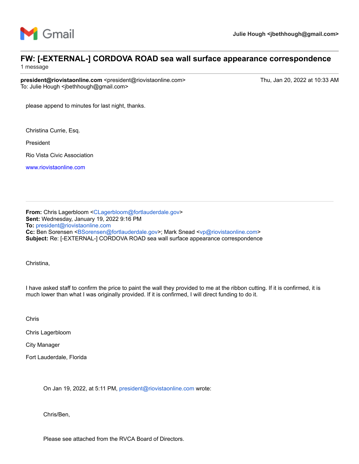

## **FW: [-EXTERNAL-] CORDOVA ROAD sea wall surface appearance correspondence**

1 message

**president@riovistaonline.com** <president@riovistaonline.com> Thu, Jan 20, 2022 at 10:33 AM To: Julie Hough <jbethhough@gmail.com>

please append to minutes for last night, thanks.

Christina Currie, Esq.

President

Rio Vista Civic Association

[www.riovistaonline.com](http://www.riovistaonline.com/)

**From:** Chris Lagerbloom <[CLagerbloom@fortlauderdale.gov>](mailto:CLagerbloom@fortlauderdale.gov) **Sent:** Wednesday, January 19, 2022 9:16 PM **To:** [president@riovistaonline.com](mailto:president@riovistaonline.com) **Cc:** Ben Sorensen [<BSorensen@fortlauderdale.gov>](mailto:BSorensen@fortlauderdale.gov); Mark Snead <[vp@riovistaonline.com](mailto:vp@riovistaonline.com)> **Subject:** Re: [-EXTERNAL-] CORDOVA ROAD sea wall surface appearance correspondence

Christina,

I have asked staff to confirm the price to paint the wall they provided to me at the ribbon cutting. If it is confirmed, it is much lower than what I was originally provided. If it is confirmed, I will direct funding to do it.

Chris

Chris Lagerbloom

City Manager

Fort Lauderdale, Florida

On Jan 19, 2022, at 5:11 PM, [president@riovistaonline.com](mailto:president@riovistaonline.com) wrote:

Chris/Ben,

Please see attached from the RVCA Board of Directors.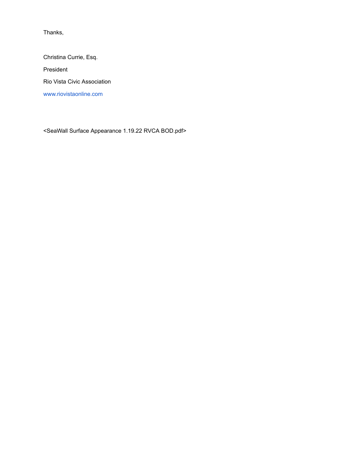Thanks,

Christina Currie, Esq. President Rio Vista Civic Association [www.riovistaonline.com](http://www.riovistaonline.com/)

<SeaWall Surface Appearance 1.19.22 RVCA BOD.pdf>